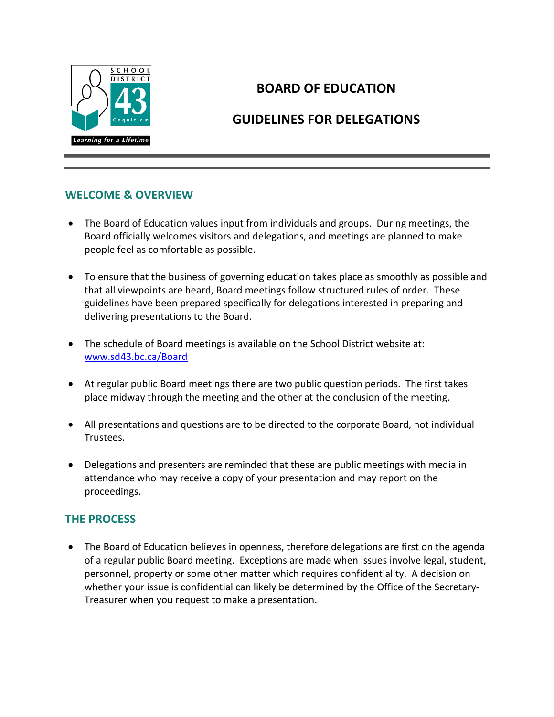

# **BOARD OF EDUCATION**

# **GUIDELINES FOR DELEGATIONS**

### **WELCOME & OVERVIEW**

- The Board of Education values input from individuals and groups. During meetings, the Board officially welcomes visitors and delegations, and meetings are planned to make people feel as comfortable as possible.
- To ensure that the business of governing education takes place as smoothly as possible and that all viewpoints are heard, Board meetings follow structured rules of order. These guidelines have been prepared specifically for delegations interested in preparing and delivering presentations to the Board.
- The schedule of Board meetings is available on the School District website at: [www.sd43.bc.ca/Board](http://www.sd43.bc.ca/Board)
- At regular public Board meetings there are two public question periods. The first takes place midway through the meeting and the other at the conclusion of the meeting.
- All presentations and questions are to be directed to the corporate Board, not individual Trustees.
- Delegations and presenters are reminded that these are public meetings with media in attendance who may receive a copy of your presentation and may report on the proceedings.

#### **THE PROCESS**

• The Board of Education believes in openness, therefore delegations are first on the agenda of a regular public Board meeting. Exceptions are made when issues involve legal, student, personnel, property or some other matter which requires confidentiality. A decision on whether your issue is confidential can likely be determined by the Office of the Secretary-Treasurer when you request to make a presentation.